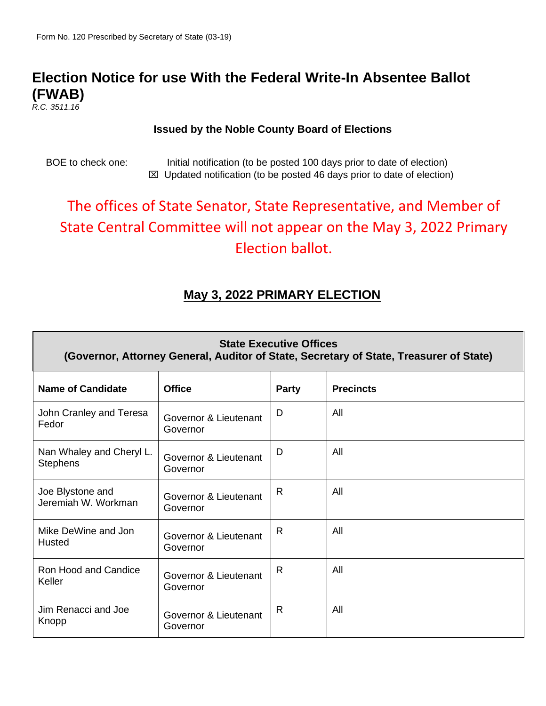## **Election Notice for use With the Federal Write-In Absentee Ballot (FWAB)**

*R.C. 3511.16*

#### **Issued by the Noble County Board of Elections**

BOE to check one: Initial notification (to be posted 100 days prior to date of election)  $\boxtimes$  Updated notification (to be posted 46 days prior to date of election)

# The offices of State Senator, State Representative, and Member of State Central Committee will not appear on the May 3, 2022 Primary Election ballot.

### **May 3, 2022 PRIMARY ELECTION**

| <b>State Executive Offices</b><br>(Governor, Attorney General, Auditor of State, Secretary of State, Treasurer of State) |                                   |              |                  |  |
|--------------------------------------------------------------------------------------------------------------------------|-----------------------------------|--------------|------------------|--|
| <b>Name of Candidate</b>                                                                                                 | <b>Office</b>                     | <b>Party</b> | <b>Precincts</b> |  |
| John Cranley and Teresa<br>Fedor                                                                                         | Governor & Lieutenant<br>Governor | D            | All              |  |
| Nan Whaley and Cheryl L.<br><b>Stephens</b>                                                                              | Governor & Lieutenant<br>Governor | D            | All              |  |
| Joe Blystone and<br>Jeremiah W. Workman                                                                                  | Governor & Lieutenant<br>Governor | R            | All              |  |
| Mike DeWine and Jon<br>Husted                                                                                            | Governor & Lieutenant<br>Governor | $\mathsf{R}$ | All              |  |
| Ron Hood and Candice<br>Keller                                                                                           | Governor & Lieutenant<br>Governor | $\mathsf{R}$ | All              |  |
| Jim Renacci and Joe<br>Knopp                                                                                             | Governor & Lieutenant<br>Governor | R            | All              |  |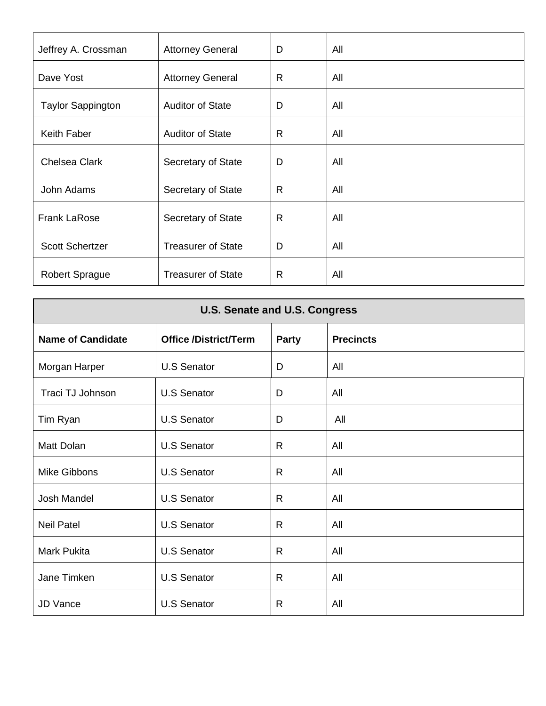| Jeffrey A. Crossman      | <b>Attorney General</b>   | D            | All |
|--------------------------|---------------------------|--------------|-----|
| Dave Yost                | <b>Attorney General</b>   | $\mathsf{R}$ | All |
| <b>Taylor Sappington</b> | <b>Auditor of State</b>   | D            | All |
| Keith Faber              | <b>Auditor of State</b>   | $\mathsf{R}$ | All |
| <b>Chelsea Clark</b>     | Secretary of State        | D            | All |
| John Adams               | Secretary of State        | $\mathsf{R}$ | All |
| <b>Frank LaRose</b>      | Secretary of State        | $\mathsf{R}$ | All |
| <b>Scott Schertzer</b>   | <b>Treasurer of State</b> | D            | All |
| <b>Robert Sprague</b>    | <b>Treasurer of State</b> | $\mathsf{R}$ | All |

| <b>U.S. Senate and U.S. Congress</b> |                              |              |                  |
|--------------------------------------|------------------------------|--------------|------------------|
| <b>Name of Candidate</b>             | <b>Office /District/Term</b> | <b>Party</b> | <b>Precincts</b> |
| Morgan Harper                        | <b>U.S Senator</b>           | D            | All              |
| Traci TJ Johnson                     | <b>U.S Senator</b>           | D            | All              |
| Tim Ryan                             | <b>U.S Senator</b>           | D            | All              |
| Matt Dolan                           | <b>U.S Senator</b>           | $\mathsf{R}$ | All              |
| Mike Gibbons                         | <b>U.S Senator</b>           | R            | All              |
| Josh Mandel                          | <b>U.S Senator</b>           | $\mathsf{R}$ | All              |
| <b>Neil Patel</b>                    | <b>U.S Senator</b>           | $\mathsf{R}$ | All              |
| <b>Mark Pukita</b>                   | <b>U.S Senator</b>           | $\mathsf{R}$ | All              |
| Jane Timken                          | <b>U.S Senator</b>           | $\mathsf{R}$ | All              |
| <b>JD Vance</b>                      | <b>U.S Senator</b>           | $\mathsf{R}$ | All              |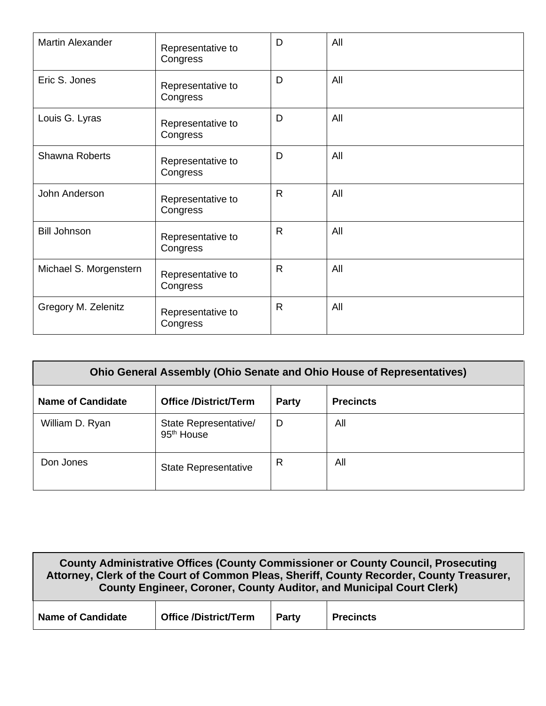| <b>Martin Alexander</b> | Representative to<br>Congress | D            | All |
|-------------------------|-------------------------------|--------------|-----|
| Eric S. Jones           | Representative to<br>Congress | D            | All |
| Louis G. Lyras          | Representative to<br>Congress | D            | All |
| <b>Shawna Roberts</b>   | Representative to<br>Congress | D            | All |
| John Anderson           | Representative to<br>Congress | $\mathsf{R}$ | All |
| <b>Bill Johnson</b>     | Representative to<br>Congress | $\mathsf{R}$ | All |
| Michael S. Morgenstern  | Representative to<br>Congress | $\mathsf{R}$ | All |
| Gregory M. Zelenitz     | Representative to<br>Congress | $\mathsf{R}$ | All |

| <b>Ohio General Assembly (Ohio Senate and Ohio House of Representatives)</b>          |                                                 |   |     |  |  |
|---------------------------------------------------------------------------------------|-------------------------------------------------|---|-----|--|--|
| <b>Name of Candidate</b><br><b>Office /District/Term</b><br><b>Precincts</b><br>Party |                                                 |   |     |  |  |
| William D. Ryan                                                                       | State Representative/<br>95 <sup>th</sup> House | D | All |  |  |
| Don Jones                                                                             | <b>State Representative</b>                     | R | All |  |  |

| County Administrative Offices (County Commissioner or County Council, Prosecuting<br>Attorney, Clerk of the Court of Common Pleas, Sheriff, County Recorder, County Treasurer,<br><b>County Engineer, Coroner, County Auditor, and Municipal Court Clerk)</b> |  |  |  |  |
|---------------------------------------------------------------------------------------------------------------------------------------------------------------------------------------------------------------------------------------------------------------|--|--|--|--|
| <b>Office /District/Term</b><br><b>Name of Candidate</b><br>Party<br><b>Precincts</b>                                                                                                                                                                         |  |  |  |  |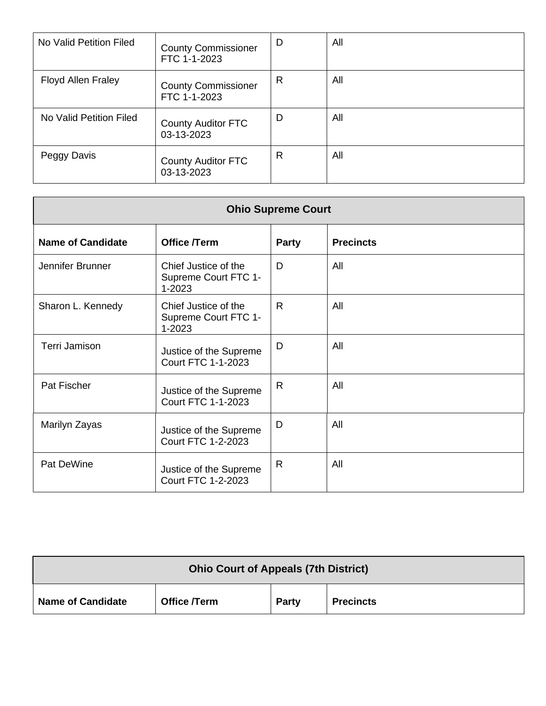| No Valid Petition Filed | <b>County Commissioner</b><br>FTC 1-1-2023 | D | All |
|-------------------------|--------------------------------------------|---|-----|
| Floyd Allen Fraley      | <b>County Commissioner</b><br>FTC 1-1-2023 | R | All |
| No Valid Petition Filed | <b>County Auditor FTC</b><br>03-13-2023    | D | All |
| Peggy Davis             | <b>County Auditor FTC</b><br>03-13-2023    | R | All |

| <b>Ohio Supreme Court</b> |                                                        |              |                  |
|---------------------------|--------------------------------------------------------|--------------|------------------|
| <b>Name of Candidate</b>  | Office /Term                                           | Party        | <b>Precincts</b> |
| Jennifer Brunner          | Chief Justice of the<br>Supreme Court FTC 1-<br>1-2023 | D            | All              |
| Sharon L. Kennedy         | Chief Justice of the<br>Supreme Court FTC 1-<br>1-2023 | $\mathsf{R}$ | All              |
| Terri Jamison             | Justice of the Supreme<br><b>Court FTC 1-1-2023</b>    | D            | All              |
| Pat Fischer               | Justice of the Supreme<br><b>Court FTC 1-1-2023</b>    | $\mathsf{R}$ | All              |
| Marilyn Zayas             | Justice of the Supreme<br><b>Court FTC 1-2-2023</b>    | D            | All              |
| Pat DeWine                | Justice of the Supreme<br><b>Court FTC 1-2-2023</b>    | $\mathsf{R}$ | All              |

| <b>Ohio Court of Appeals (7th District)</b>                           |  |  |  |  |
|-----------------------------------------------------------------------|--|--|--|--|
| <b>Name of Candidate</b><br>Office /Term<br><b>Precincts</b><br>Party |  |  |  |  |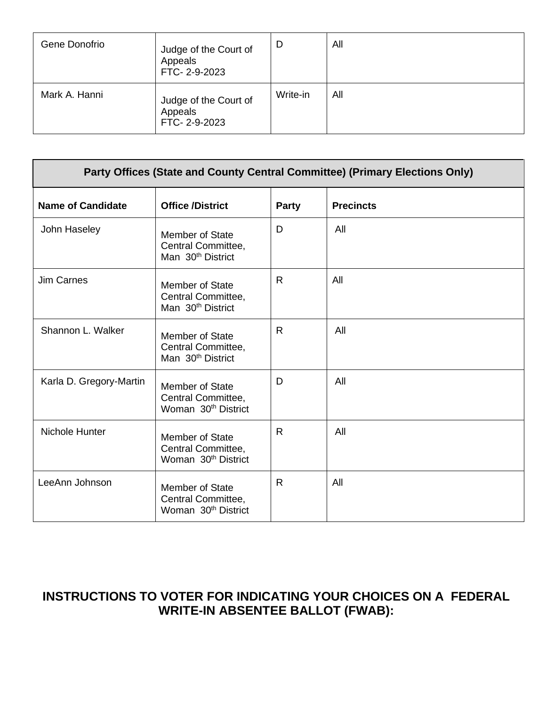| Gene Donofrio | Judge of the Court of<br>Appeals<br>FTC-2-9-2023 | D        | All |
|---------------|--------------------------------------------------|----------|-----|
| Mark A. Hanni | Judge of the Court of<br>Appeals<br>FTC-2-9-2023 | Write-in | All |

| Party Offices (State and County Central Committee) (Primary Elections Only) |                                                                          |              |                  |
|-----------------------------------------------------------------------------|--------------------------------------------------------------------------|--------------|------------------|
| <b>Name of Candidate</b>                                                    | <b>Office /District</b>                                                  | <b>Party</b> | <b>Precincts</b> |
| John Haseley                                                                | Member of State<br>Central Committee,<br>Man 30 <sup>th</sup> District   | D            | All              |
| <b>Jim Carnes</b>                                                           | Member of State<br>Central Committee,<br>Man 30 <sup>th</sup> District   | R            | All              |
| Shannon L. Walker                                                           | Member of State<br>Central Committee,<br>Man 30 <sup>th</sup> District   | R            | All              |
| Karla D. Gregory-Martin                                                     | Member of State<br>Central Committee,<br>Woman 30 <sup>th</sup> District | D            | All              |
| Nichole Hunter                                                              | Member of State<br>Central Committee,<br>Woman 30 <sup>th</sup> District | R            | All              |
| LeeAnn Johnson                                                              | Member of State<br>Central Committee,<br>Woman 30 <sup>th</sup> District | R            | All              |

## **INSTRUCTIONS TO VOTER FOR INDICATING YOUR CHOICES ON A FEDERAL WRITE-IN ABSENTEE BALLOT (FWAB):**